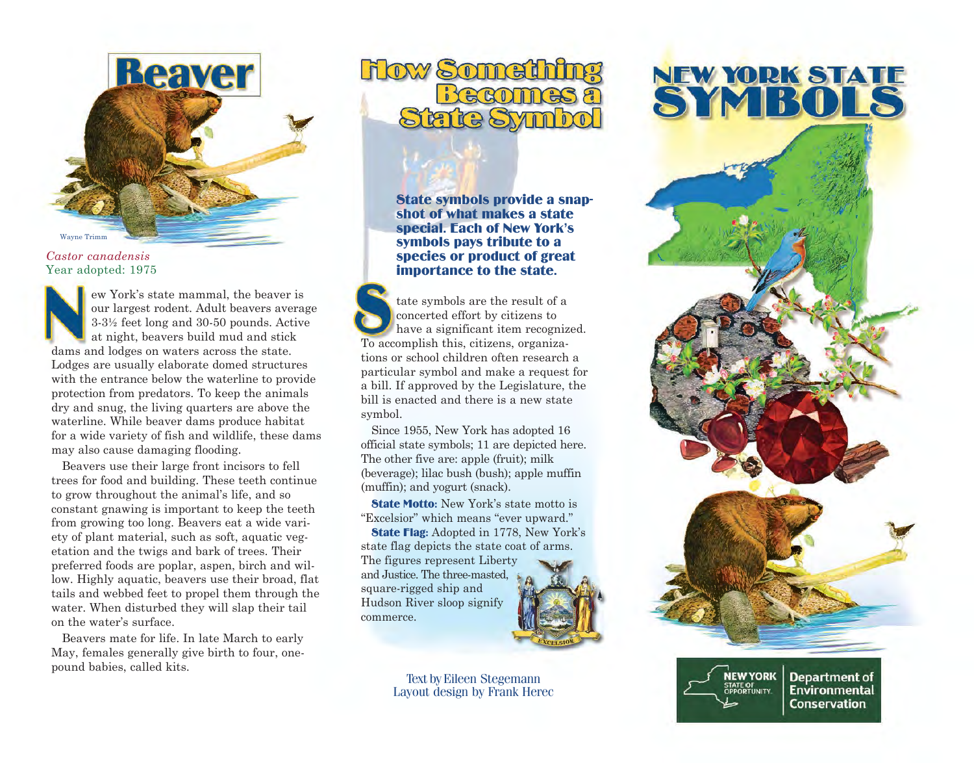

#### *Castor canadensis* Year adopted: 1975

ew York's state mammal, the beaver is our largest rodent. Adult beavers average 3-3½ feet long and 30-50 pounds. Active at night, beavers build mud and stick dams and lodges on waters across the state. Lodges are usually elaborate domed structures with the entrance below the waterline to provide protection from predators. To keep the animals dry and snug, the living quarters are above the waterline. While beaver dams produce habitat for a wide variety of fish and wildlife, these dams may also cause damaging flooding.

Beavers use their large front incisors to fell trees for food and building. These teeth continue to grow throughout the animal's life, and so constant gnawing is important to keep the teeth from growing too long. Beavers eat a wide variety of plant material, such as soft, aquatic vegetation and the twigs and bark of trees. Their preferred foods are poplar, aspen, birch and willow. Highly aquatic, beavers use their broad, flat tails and webbed feet to propel them through the water. When disturbed they will slap their tail on the water's surface.

Beavers mate for life. In late March to early May, females generally give birth to four, onepound babies, called kits.

# **Flow Somethi** Becomes State Syn

State symbols provide a snap- shot of what makes a state special. Each of New York's symbols pays tribute to a species or product of great importance to the state.

tate symbols are the result of a concerted effort by citizens to have a significant item recognized. To accomplish this, citizens, organizations or school children often research a particular symbol and make a request for a bill. If approved by the Legislature, the bill is enacted and there is a new state symbol.

Since 1955, New York has adopted 16 official state symbols; 11 are depicted here. The other five are: apple (fruit): milk (beverage); lilac bush (bush); apple muffin (muffin); and yogurt (snack).

**State Motto:** New York's state motto is "Excelsior" which means "ever upward." State Flag: Adopted in 1778, New York's

state flag depicts the state coat of arms. The figures represent Liberty and Justice. The three-masted, square-rigged ship and Hudson River sloop signify commerce.



 Text by Eileen Stegemann Layout design by Frank Herec

# NEW YORK STATE



**A EW YORK Department of BEW YORK Department of Environmental Conservation**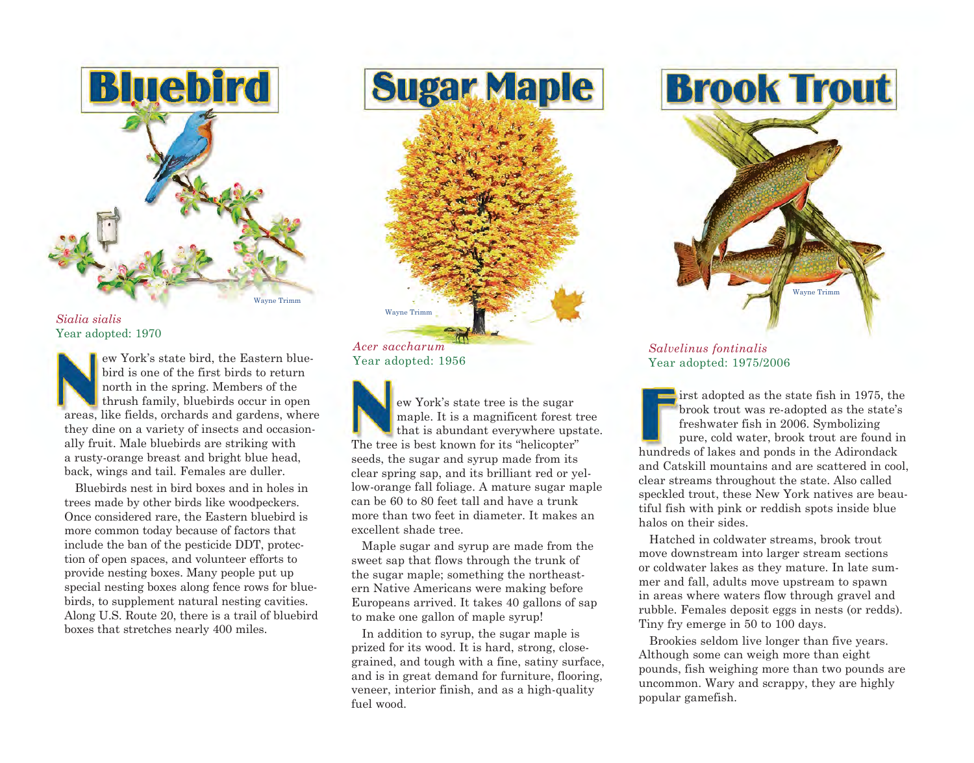

*Sialia sialis*  Year adopted: 1970

New York bird<br>
areas like ew York's state bird, the Eastern bluebird is one of the first birds to return north in the spring. Members of the thrush family, bluebirds occur in open areas, like fields, orchards and gardens, where they dine on a variety of insects and occasionally fruit. Male bluebirds are striking with a rusty-orange breast and bright blue head, back, wings and tail. Females are duller.

Bluebirds nest in bird boxes and in holes in trees made by other birds like woodpeckers. Once considered rare, the Eastern bluebird is more common today because of factors that include the ban of the pesticide DDT, protection of open spaces, and volunteer efforts to provide nesting boxes. Many people put up special nesting boxes along fence rows for bluebirds, to supplement natural nesting cavities. Along U.S. Route 20, there is a trail of bluebird boxes that stretches nearly 400 miles.

*Acer saccharum*  Year adopted: 1956

Wayne Trimm

ew York's state tree is the sugar maple. It is a magnificent forest tree that is abundant everywhere upstate. The tree is best known for its "helicopter" seeds, the sugar and syrup made from its clear spring sap, and its brilliant red or yellow-orange fall foliage. A mature sugar maple can be 60 to 80 feet tall and have a trunk more than two feet in diameter. It makes an excellent shade tree.

**Sugar Maple** 

Maple sugar and syrup are made from the sweet sap that flows through the trunk of the sugar maple; something the northeastern Native Americans were making before Europeans arrived. It takes 40 gallons of sap to make one gallon of maple syrup!

In addition to syrup, the sugar maple is prized for its wood. It is hard, strong, closegrained, and tough with a fine, satiny surface, and is in great demand for furniture, flooring, veneer, interior finish, and as a high-quality fuel wood.





#### *Salvelinus fontinalis*  Year adopted: 1975/2006

 $\frac{1}{2}$  irst adopted as the state fish in 1975, the brook trout was re-adopted as the state's freshwater fish in 2006. Symbolizing pure, cold water, brook trout are found in hundreds of lakes and ponds in the Adirondack and Catskill mountains and are scattered in cool, clear streams throughout the state. Also called speckled trout, these New York natives are beautiful fish with pink or reddish spots inside blue halos on their sides.

Hatched in coldwater streams, brook trout move downstream into larger stream sections or coldwater lakes as they mature. In late summer and fall, adults move upstream to spawn in areas where waters flow through gravel and rubble. Females deposit eggs in nests (or redds). Tiny fry emerge in 50 to 100 days.

Brookies seldom live longer than five years. Although some can weigh more than eight pounds, fish weighing more than two pounds are uncommon. Wary and scrappy, they are highly popular gamefish.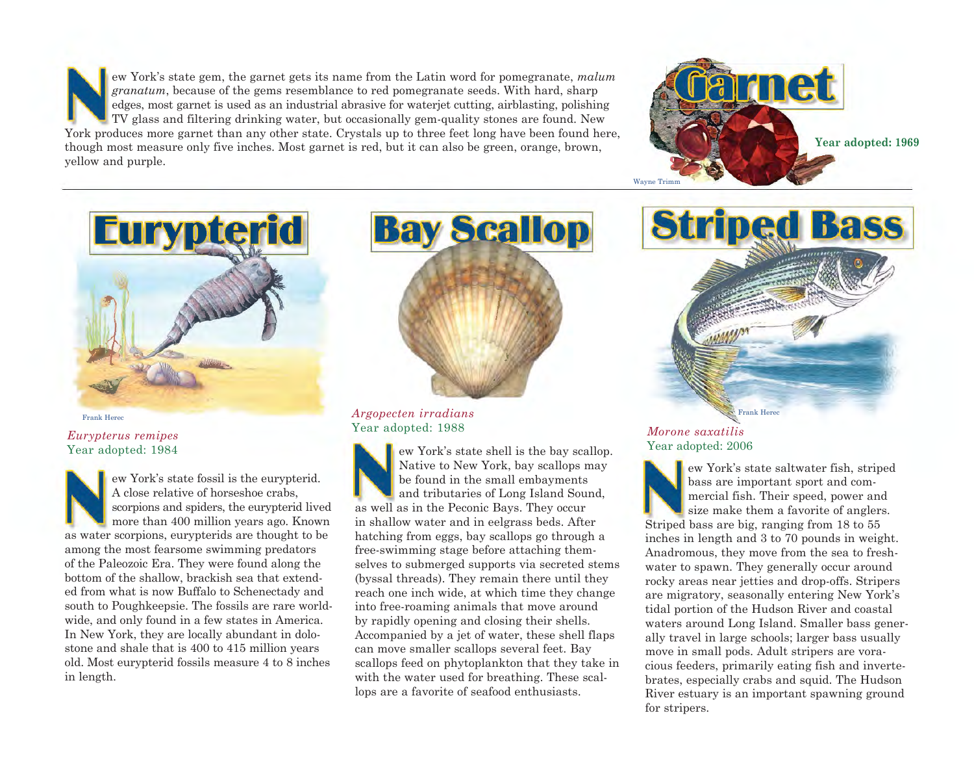ew York's state gem, the garnet gets its name from the Latin word for pomegranate, *malum granatum*, because of the gems resemblance to red pomegranate seeds. With hard, sharp edges, most garnet is used as an industrial abrasive for waterjet cutting, airblasting, polishing TV glass and filtering drinking water, but occasionally gem-quality stones are found. New York produces more garnet than any other state. Crystals up to three feet long have been found here, though most measure only five inches. Most garnet is red, but it can also be green, orange, brown, yellow and purple.



**Striped Bass** 



Frank Herec

### *Eurypterus remipes*  Year adopted: 1984

ew York's state fossil is the eurypterid. A close relative of horseshoe crabs, scorpions and spiders, the eurypterid lived more than 400 million years ago. Known as water scorpions, eurypterids are thought to be among the most fearsome swimming predators of the Paleozoic Era. They were found along the bottom of the shallow, brackish sea that extended from what is now Buffalo to Schenectady and south to Poughkeepsie. The fossils are rare worldwide, and only found in a few states in America. In New York, they are locally abundant in dolostone and shale that is 400 to 415 million years old. Most eurypterid fossils measure 4 to 8 inches in length.



*Argopecten irradians*  Year adopted: 1988

Native to New York, bay scallops may<br>be found in the small embayments<br>A close relative of horseshoe crabs,<br>scorpions and spiders, the eurypterid lived<br>more than 400 million years ago. Known in shallow water and in eelgrass ew York's state shell is the bay scallop. Native to New York, bay scallops may be found in the small embayments and tributaries of Long Island Sound, as well as in the Peconic Bays. They occur in shallow water and in eelgrass beds. After hatching from eggs, bay scallops go through a free-swimming stage before attaching themselves to submerged supports via secreted stems (byssal threads). They remain there until they reach one inch wide, at which time they change into free-roaming animals that move around by rapidly opening and closing their shells. Accompanied by a jet of water, these shell flaps can move smaller scallops several feet. Bay scallops feed on phytoplankton that they take in with the water used for breathing. These scallops are a favorite of seafood enthusiasts.

## *Morone saxatilis*  Year adopted: 2006

ew York's state saltwater fish, striped bass are important sport and commercial fish. Their speed, power and size make them a favorite of anglers. Striped bass are big, ranging from 18 to 55 inches in length and 3 to 70 pounds in weight. Anadromous, they move from the sea to freshwater to spawn. They generally occur around rocky areas near jetties and drop-offs. Stripers are migratory, seasonally entering New York's tidal portion of the Hudson River and coastal waters around Long Island. Smaller bass generally travel in large schools; larger bass usually move in small pods. Adult stripers are voracious feeders, primarily eating fish and invertebrates, especially crabs and squid. The Hudson River estuary is an important spawning ground for stripers.

Frank Herec